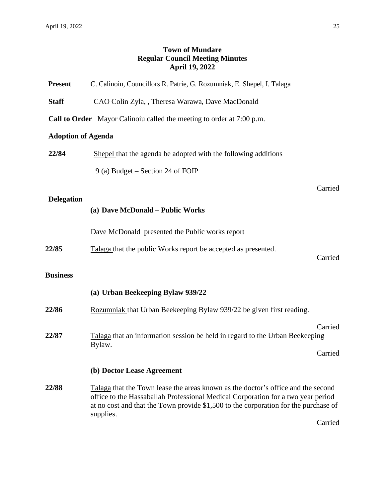## **Town of Mundare Regular Council Meeting Minutes April 19, 2022**

| <b>Present</b>            | C. Calinoiu, Councillors R. Patrie, G. Rozumniak, E. Shepel, I. Talaga                                                                                                                                                                                                   |         |
|---------------------------|--------------------------------------------------------------------------------------------------------------------------------------------------------------------------------------------------------------------------------------------------------------------------|---------|
| <b>Staff</b>              | CAO Colin Zyla, , Theresa Warawa, Dave MacDonald                                                                                                                                                                                                                         |         |
|                           | <b>Call to Order</b> Mayor Calinoiu called the meeting to order at 7:00 p.m.                                                                                                                                                                                             |         |
| <b>Adoption of Agenda</b> |                                                                                                                                                                                                                                                                          |         |
| 22/84                     | Shepel that the agenda be adopted with the following additions                                                                                                                                                                                                           |         |
|                           | 9 (a) Budget – Section 24 of FOIP                                                                                                                                                                                                                                        |         |
|                           |                                                                                                                                                                                                                                                                          | Carried |
| <b>Delegation</b>         | (a) Dave McDonald - Public Works                                                                                                                                                                                                                                         |         |
|                           | Dave McDonald presented the Public works report                                                                                                                                                                                                                          |         |
| 22/85                     | Talaga that the public Works report be accepted as presented.                                                                                                                                                                                                            | Carried |
| <b>Business</b>           |                                                                                                                                                                                                                                                                          |         |
|                           | (a) Urban Beekeeping Bylaw 939/22                                                                                                                                                                                                                                        |         |
| 22/86                     | Rozumniak that Urban Beekeeping Bylaw 939/22 be given first reading.                                                                                                                                                                                                     |         |
| 22/87                     | Talaga that an information session be held in regard to the Urban Beekeeping<br>Bylaw.                                                                                                                                                                                   | Carried |
|                           |                                                                                                                                                                                                                                                                          | Carried |
|                           | (b) Doctor Lease Agreement                                                                                                                                                                                                                                               |         |
| 22/88                     | Talaga that the Town lease the areas known as the doctor's office and the second<br>office to the Hassaballah Professional Medical Corporation for a two year period<br>at no cost and that the Town provide \$1,500 to the corporation for the purchase of<br>supplies. |         |
|                           |                                                                                                                                                                                                                                                                          | Carried |